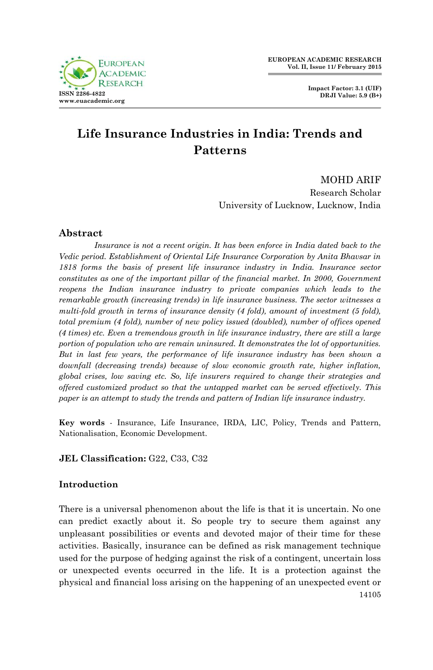

# **Life Insurance Industries in India: Trends and Patterns**

MOHD ARIF Research Scholar University of Lucknow, Lucknow, India

# **Abstract**

*Insurance is not a recent origin. It has been enforce in India dated back to the Vedic period. Establishment of Oriental Life Insurance Corporation by Anita Bhavsar in 1818 forms the basis of present life insurance industry in India. Insurance sector constitutes as one of the important pillar of the financial market. In 2000, Government reopens the Indian insurance industry to private companies which leads to the remarkable growth (increasing trends) in life insurance business. The sector witnesses a multi-fold growth in terms of insurance density (4 fold), amount of investment (5 fold), total premium (4 fold), number of new policy issued (doubled), number of offices opened (4 times) etc. Even a tremendous growth in life insurance industry, there are still a large portion of population who are remain uninsured. It demonstrates the lot of opportunities. But in last few years, the performance of life insurance industry has been shown a downfall (decreasing trends) because of slow economic growth rate, higher inflation, global crises, low saving etc. So, life insurers required to change their strategies and offered customized product so that the untapped market can be served effectively. This paper is an attempt to study the trends and pattern of Indian life insurance industry.*

**Key words** - Insurance, Life Insurance, IRDA, LIC, Policy, Trends and Pattern, Nationalisation, Economic Development.

**JEL Classification: G22, C33, C32** 

# **Introduction**

14105 There is a universal phenomenon about the life is that it is uncertain. No one can predict exactly about it. So people try to secure them against any unpleasant possibilities or events and devoted major of their time for these activities. Basically, insurance can be defined as risk management technique used for the purpose of hedging against the risk of a contingent, uncertain loss or unexpected events occurred in the life. It is a protection against the physical and financial loss arising on the happening of an unexpected event or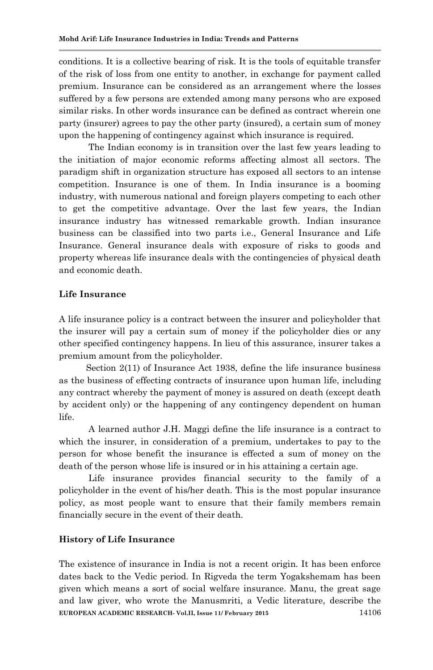conditions. It is a collective bearing of risk. It is the tools of equitable transfer of the risk of loss from one entity to another, in exchange for payment called premium. Insurance can be considered as an arrangement where the losses suffered by a few persons are extended among many persons who are exposed similar risks. In other words insurance can be defined as contract wherein one party (insurer) agrees to pay the other party (insured), a certain sum of money upon the happening of contingency against which insurance is required.

 The Indian economy is in transition over the last few years leading to the initiation of major economic reforms affecting almost all sectors. The paradigm shift in organization structure has exposed all sectors to an intense competition. Insurance is one of them. In India insurance is a booming industry, with numerous national and foreign players competing to each other to get the competitive advantage. Over the last few years, the Indian insurance industry has witnessed remarkable growth. Indian insurance business can be classified into two parts i.e., General Insurance and Life Insurance. General insurance deals with exposure of risks to goods and property whereas life insurance deals with the contingencies of physical death and economic death.

### **Life Insurance**

A life insurance policy is a contract between the insurer and policyholder that the insurer will pay a certain sum of money if the policyholder dies or any other specified contingency happens. In lieu of this assurance, insurer takes a premium amount from the policyholder.

 Section 2(11) of Insurance Act 1938, define the life insurance business as the business of effecting contracts of insurance upon human life, including any contract whereby the payment of money is assured on death (except death by accident only) or the happening of any contingency dependent on human life.

 A learned author J.H. Maggi define the life insurance is a contract to which the insurer, in consideration of a premium, undertakes to pay to the person for whose benefit the insurance is effected a sum of money on the death of the person whose life is insured or in his attaining a certain age.

 Life insurance provides financial security to the family of a policyholder in the event of his/her death. This is the most popular insurance policy, as most people want to ensure that their family members remain financially secure in the event of their death.

### **History of Life Insurance**

**EUROPEAN ACADEMIC RESEARCH- Vol.II, Issue 11/ February 2015** 14106 The existence of insurance in India is not a recent origin. It has been enforce dates back to the Vedic period. In Rigveda the term Yogakshemam has been given which means a sort of social welfare insurance. Manu, the great sage and law giver, who wrote the Manusmriti, a Vedic literature, describe the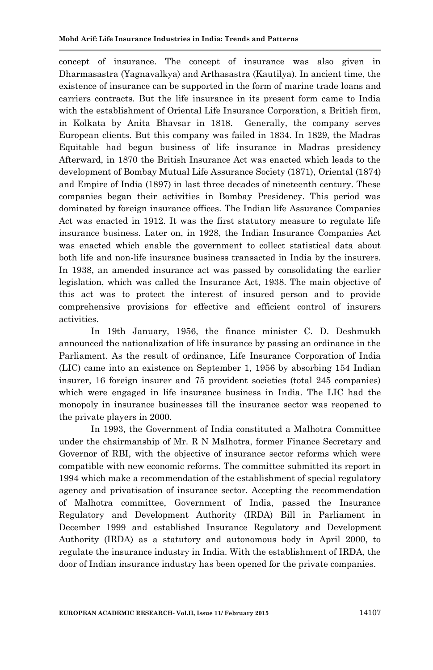concept of insurance. The concept of insurance was also given in Dharmasastra (Yagnavalkya) and Arthasastra (Kautilya). In ancient time, the existence of insurance can be supported in the form of marine trade loans and carriers contracts. But the life insurance in its present form came to India with the establishment of Oriental Life Insurance Corporation, a British firm, in Kolkata by Anita Bhavsar in 1818. Generally, the company serves European clients. But this company was failed in 1834. In 1829, the Madras Equitable had begun business of life insurance in Madras presidency Afterward, in 1870 the British Insurance Act was enacted which leads to the development of Bombay Mutual Life Assurance Society (1871), Oriental (1874) and Empire of India (1897) in last three decades of nineteenth century. These companies began their activities in Bombay Presidency. This period was dominated by foreign insurance offices. The Indian life Assurance Companies Act was enacted in 1912. It was the first statutory measure to regulate life insurance business. Later on, in 1928, the Indian Insurance Companies Act was enacted which enable the government to collect statistical data about both life and non-life insurance business transacted in India by the insurers. In 1938, an amended insurance act was passed by consolidating the earlier legislation, which was called the Insurance Act, 1938. The main objective of this act was to protect the interest of insured person and to provide comprehensive provisions for effective and efficient control of insurers activities.

 In 19th January, 1956, the finance minister C. D. Deshmukh announced the nationalization of life insurance by passing an ordinance in the Parliament. As the result of ordinance, Life Insurance Corporation of India (LIC) came into an existence on September 1, 1956 by absorbing 154 Indian insurer, 16 foreign insurer and 75 provident societies (total 245 companies) which were engaged in life insurance business in India. The LIC had the monopoly in insurance businesses till the insurance sector was reopened to the private players in 2000.

 In 1993, the Government of India constituted a Malhotra Committee under the chairmanship of Mr. R N Malhotra, former Finance Secretary and Governor of RBI, with the objective of insurance sector reforms which were compatible with new economic reforms. The committee submitted its report in 1994 which make a recommendation of the establishment of special regulatory agency and privatisation of insurance sector. Accepting the recommendation of Malhotra committee, Government of India, passed the Insurance Regulatory and Development Authority (IRDA) Bill in Parliament in December 1999 and established Insurance Regulatory and Development Authority (IRDA) as a statutory and autonomous body in April 2000, to regulate the insurance industry in India. With the establishment of IRDA, the door of Indian insurance industry has been opened for the private companies.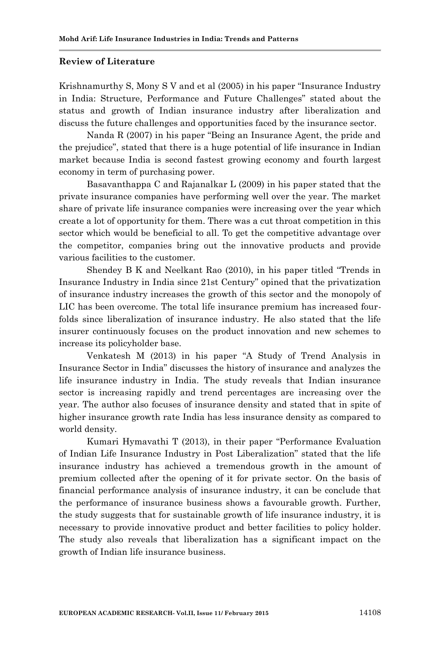#### **Review of Literature**

Krishnamurthy S, Mony S V and et al (2005) in his paper "Insurance Industry in India: Structure, Performance and Future Challenges" stated about the status and growth of Indian insurance industry after liberalization and discuss the future challenges and opportunities faced by the insurance sector.

Nanda R (2007) in his paper "Being an Insurance Agent, the pride and the prejudice", stated that there is a huge potential of life insurance in Indian market because India is second fastest growing economy and fourth largest economy in term of purchasing power.

Basavanthappa C and Rajanalkar L (2009) in his paper stated that the private insurance companies have performing well over the year. The market share of private life insurance companies were increasing over the year which create a lot of opportunity for them. There was a cut throat competition in this sector which would be beneficial to all. To get the competitive advantage over the competitor, companies bring out the innovative products and provide various facilities to the customer.

Shendey B K and Neelkant Rao (2010), in his paper titled "Trends in Insurance Industry in India since 21st Century" opined that the privatization of insurance industry increases the growth of this sector and the monopoly of LIC has been overcome. The total life insurance premium has increased fourfolds since liberalization of insurance industry. He also stated that the life insurer continuously focuses on the product innovation and new schemes to increase its policyholder base.

Venkatesh M (2013) in his paper "A Study of Trend Analysis in Insurance Sector in India" discusses the history of insurance and analyzes the life insurance industry in India. The study reveals that Indian insurance sector is increasing rapidly and trend percentages are increasing over the year. The author also focuses of insurance density and stated that in spite of higher insurance growth rate India has less insurance density as compared to world density.

Kumari Hymavathi T (2013), in their paper "Performance Evaluation of Indian Life Insurance Industry in Post Liberalization" stated that the life insurance industry has achieved a tremendous growth in the amount of premium collected after the opening of it for private sector. On the basis of financial performance analysis of insurance industry, it can be conclude that the performance of insurance business shows a favourable growth. Further, the study suggests that for sustainable growth of life insurance industry, it is necessary to provide innovative product and better facilities to policy holder. The study also reveals that liberalization has a significant impact on the growth of Indian life insurance business.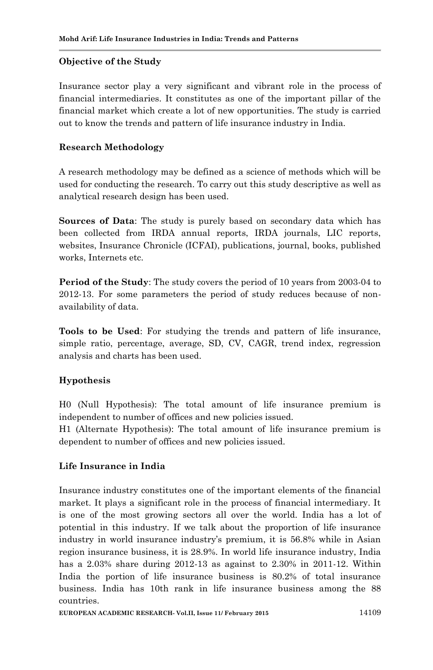### **Objective of the Study**

Insurance sector play a very significant and vibrant role in the process of financial intermediaries. It constitutes as one of the important pillar of the financial market which create a lot of new opportunities. The study is carried out to know the trends and pattern of life insurance industry in India.

### **Research Methodology**

A research methodology may be defined as a science of methods which will be used for conducting the research. To carry out this study descriptive as well as analytical research design has been used.

**Sources of Data**: The study is purely based on secondary data which has been collected from IRDA annual reports, IRDA journals, LIC reports, websites, Insurance Chronicle (ICFAI), publications, journal, books, published works, Internets etc.

**Period of the Study**: The study covers the period of 10 years from 2003-04 to 2012-13. For some parameters the period of study reduces because of nonavailability of data.

**Tools to be Used**: For studying the trends and pattern of life insurance, simple ratio, percentage, average, SD, CV, CAGR, trend index, regression analysis and charts has been used.

# **Hypothesis**

H0 (Null Hypothesis): The total amount of life insurance premium is independent to number of offices and new policies issued.

H1 (Alternate Hypothesis): The total amount of life insurance premium is dependent to number of offices and new policies issued.

# **Life Insurance in India**

Insurance industry constitutes one of the important elements of the financial market. It plays a significant role in the process of financial intermediary. It is one of the most growing sectors all over the world. India has a lot of potential in this industry. If we talk about the proportion of life insurance industry in world insurance industry's premium, it is 56.8% while in Asian region insurance business, it is 28.9%. In world life insurance industry, India has a 2.03% share during 2012-13 as against to 2.30% in 2011-12. Within India the portion of life insurance business is 80.2% of total insurance business. India has 10th rank in life insurance business among the 88 countries.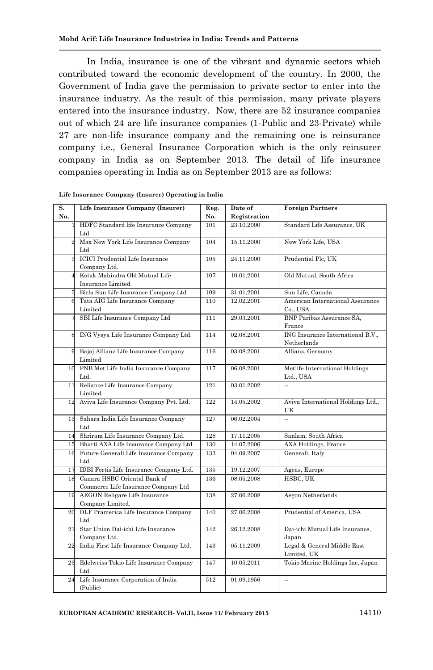In India, insurance is one of the vibrant and dynamic sectors which contributed toward the economic development of the country. In 2000, the Government of India gave the permission to private sector to enter into the insurance industry. As the result of this permission, many private players entered into the insurance industry. Now, there are 52 insurance companies out of which 24 are life insurance companies (1-Public and 23-Private) while 27 are non-life insurance company and the remaining one is reinsurance company i.e., General Insurance Corporation which is the only reinsurer company in India as on September 2013. The detail of life insurance companies operating in India as on September 2013 are as follows:

| S.  | Life Insurance Company (Insurer)            | Reg. | Date of      | <b>Foreign Partners</b>                  |
|-----|---------------------------------------------|------|--------------|------------------------------------------|
| No. |                                             | No.  | Registration |                                          |
|     | HDFC Standard life Insurance Company        | 101  | 23.10.2000   | Standard Life Assurance, UK              |
|     | $_{\rm Ltd}$                                |      |              |                                          |
|     | Max New York Life Insurance Company         | 104  | 15.11.2000   | New York Life, USA                       |
|     | Ltd                                         |      |              |                                          |
|     | <b>ICICI</b> Prudential Life Insurance      | 105  | 24.11.2000   | Prudential Plc, UK                       |
|     | Company Ltd.                                |      |              |                                          |
|     | Kotak Mahindra Old Mutual Life              | 107  | 10.01.2001   | Old Mutual, South Africa                 |
|     | Insurance Limited                           |      |              |                                          |
|     | Birla Sun Life Insurance Company Ltd        | 109  | 31.01.2001   | Sun Life, Canada                         |
|     | Tata AIG Life Insurance Company             | 110  | 12.02.2001   | American International Assurance         |
|     | Limited                                     |      |              | Co., USA                                 |
|     | SBI Life Insurance Company Ltd              | 111  | 29.03.2001   | BNP Paribas Assurance SA,                |
|     |                                             |      |              | France                                   |
|     | ING Vysya Life Insurance Company Ltd.       | 114  | 02.08.2001   | ING Insurance International B.V.,        |
|     |                                             |      |              | Netherlands                              |
| g   | Bajaj Allianz Life Insurance Company        | 116  | 03.08.2001   | Allianz, Germany                         |
|     | Limited                                     |      |              |                                          |
|     | 10 PNB Met Life India Insurance Company     | 117  | 06.08.2001   | Metlife International Holdings           |
|     | Ltd.                                        |      |              | Ltd., USA                                |
| 11  | Reliance Life Insurance Company             | 121  | 03.01.2002   | $\ddot{\phantom{a}}$                     |
|     | Limited.                                    |      |              |                                          |
| 12  | Aviva Life Insurance Company Pvt. Ltd.      | 122  | 14.05.2002   | Aviva International Holdings Ltd.,<br>UK |
| 13  | Sahara India Life Insurance Company<br>Ltd. | 127  | 06.02.2004   | $\ddot{\phantom{a}}$                     |
| 14  | Shriram Life Insurance Company Ltd.         | 128  | 17.11.2005   | Sanlam, South Africa                     |
| 15  | Bharti AXA Life Insurance Company Ltd.      | 130  | 14.07.2006   | <b>AXA Holdings, France</b>              |
| 16  | Future Generali Life Insurance Company      | 133  | 04.09.2007   | Generali, Italy                          |
|     | Ltd.                                        |      |              |                                          |
| 17  | IDBI Fortis Life Insurance Company Ltd.     | 135  | 19.12.2007   | Ageas, Europe                            |
| 18  | Canara HSBC Oriental Bank of                | 136  | 08.05.2008   | HSBC, UK                                 |
|     | Commerce Life Insurance Company Ltd         |      |              |                                          |
| 19  | <b>AEGON Religare Life Insurance</b>        | 138  | 27.06.2008   | Aegon Netherlands                        |
|     | Company Limited.                            |      |              |                                          |
| 20  | DLF Pramerica Life Insurance Company        | 140  | 27.06.2008   | Prudential of America, USA               |
|     | Ltd.                                        |      |              |                                          |
| 21  | Star Union Dai-ichi Life Insurance          | 142  | 26.12.2008   | Dai-ichi Mutual Life Insurance,          |
|     | Company Ltd.                                |      |              | Japan                                    |
| 22  | India First Life Insurance Company Ltd.     | 143  | 05.11.2009   | Legal & General Middle East              |
|     |                                             |      |              | Limited. UK                              |
| 23  | Edelweiss Tokio Life Insurance Company      | 147  | 10.05.2011   | Tokio Marine Holdings Inc, Japan         |
|     | Ltd.                                        |      |              |                                          |
| 24  | Life Insurance Corporation of India         | 512  | 01.09.1956   | $\mathbb{R}^2$                           |
|     | (Public)                                    |      |              |                                          |

|  |  | Life Insurance Company (Insurer) Operating in India |  |  |  |  |
|--|--|-----------------------------------------------------|--|--|--|--|
|--|--|-----------------------------------------------------|--|--|--|--|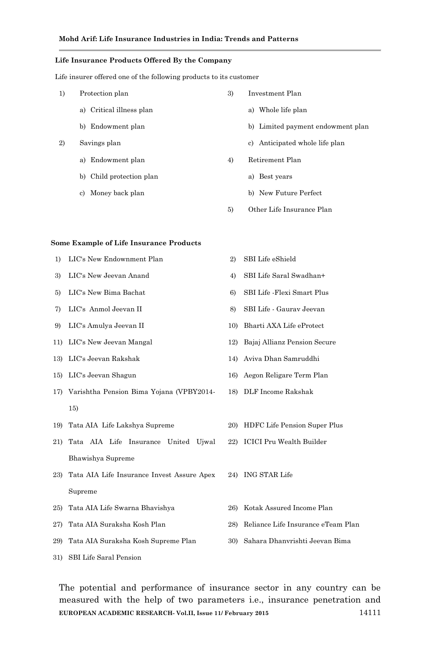#### **Life Insurance Products Offered By the Company**

Life insurer offered one of the following products to its customer

- 1) Protection plan
	- a) Critical illness plan
	- b) Endowment plan
- 2) Savings plan
	- a) Endowment plan
	- b) Child protection plan
	- c) Money back plan
- 3) Investment Plan
	- a) Whole life plan
	- b) Limited payment endowment plan
	- c) Anticipated whole life plan
- 4) Retirement Plan
	- a) Best years
	- b) New Future Perfect
- 5) Other Life Insurance Plan

#### **Some Example of Life Insurance Products**

- 1) LIC's New Endownment Plan 2) SBI Life eShield
- 
- 
- 
- 9) LIC's Amulya Jeevan II 10) Bharti AXA Life eProtect
- 
- 
- 
- 17) Varishtha Pension Bima Yojana (VPBY2014- 15)
- 19) Tata AIA Life Lakshya Supreme 20) HDFC Life Pension Super Plus
- 21) Tata AIA Life Insurance United Ujwal Bhawishya Supreme
- 23) Tata AIA Life Insurance Invest Assure Apex Supreme
- 25) Tata AIA Life Swarna Bhavishya 26) Kotak Assured Income Plan
- 
- 29) Tata AIA Suraksha Kosh Supreme Plan 30) Sahara Dhanvrishti Jeevan Bima
- 
- 3) LIC's New Jeevan Anand 4) SBI Life Saral Swadhan+
- 5) LIC's New Bima Bachat 6) SBI Life -Flexi Smart Plus
- 7) LIC's Anmol Jeevan II 8) SBI Life Gaurav Jeevan
	-
- 11) LIC's New Jeevan Mangal 12) Bajaj Allianz Pension Secure
- 13) LIC's Jeevan Rakshak 14) Aviva Dhan Samruddhi
- 15) LIC's Jeevan Shagun 16) Aegon Religare Term Plan
	- 18) DLF Income Rakshak
	-
	- 22) ICICI Pru Wealth Builder
		- 24) ING STAR Life
		-
- 27) Tata AIA Suraksha Kosh Plan 28) Reliance Life Insurance eTeam Plan
	-

31) SBI Life Saral Pension

**EUROPEAN ACADEMIC RESEARCH- Vol.II, Issue 11/ February 2015** 14111 The potential and performance of insurance sector in any country can be measured with the help of two parameters i.e., insurance penetration and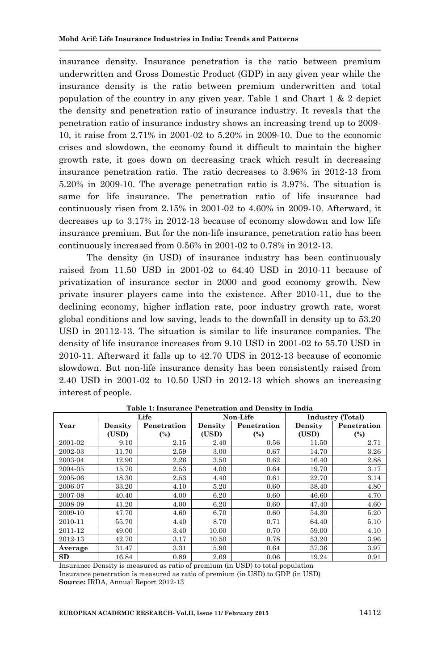insurance density. Insurance penetration is the ratio between premium underwritten and Gross Domestic Product (GDP) in any given year while the insurance density is the ratio between premium underwritten and total population of the country in any given year. Table 1 and Chart 1 & 2 depict the density and penetration ratio of insurance industry. It reveals that the penetration ratio of insurance industry shows an increasing trend up to 2009- 10, it raise from 2.71% in 2001-02 to 5.20% in 2009-10. Due to the economic crises and slowdown, the economy found it difficult to maintain the higher growth rate, it goes down on decreasing track which result in decreasing insurance penetration ratio. The ratio decreases to 3.96% in 2012-13 from 5.20% in 2009-10. The average penetration ratio is 3.97%. The situation is same for life insurance. The penetration ratio of life insurance had continuously risen from 2.15% in 2001-02 to 4.60% in 2009-10. Afterward, it decreases up to 3.17% in 2012-13 because of economy slowdown and low life insurance premium. But for the non-life insurance, penetration ratio has been continuously increased from 0.56% in 2001-02 to 0.78% in 2012-13.

The density (in USD) of insurance industry has been continuously raised from 11.50 USD in 2001-02 to 64.40 USD in 2010-11 because of privatization of insurance sector in 2000 and good economy growth. New private insurer players came into the existence. After 2010-11, due to the declining economy, higher inflation rate, poor industry growth rate, worst global conditions and low saving, leads to the downfall in density up to 53.20 USD in 20112-13. The situation is similar to life insurance companies. The density of life insurance increases from 9.10 USD in 2001-02 to 55.70 USD in 2010-11. Afterward it falls up to 42.70 UDS in 2012-13 because of economic slowdown. But non-life insurance density has been consistently raised from 2.40 USD in 2001-02 to 10.50 USD in 2012-13 which shows an increasing interest of people.

|         |                  | Life               |                  | Non-Life           | <b>Industry</b> (Total) |                               |  |
|---------|------------------|--------------------|------------------|--------------------|-------------------------|-------------------------------|--|
| Year    | Density<br>(USD) | Penetration<br>(%) | Density<br>(USD) | Penetration<br>(%) | Density<br>(USD)        | Penetration<br>$\binom{0}{0}$ |  |
| 2001-02 | 9.10             | 2.15               | 2.40             | 0.56               | 11.50                   | 2.71                          |  |
| 2002-03 | 11.70            | 2.59               | 3.00             | 0.67               | 14.70                   | 3.26                          |  |
| 2003-04 | 12.90            | 2.26               | 3.50             | 0.62               | 16.40                   | 2.88                          |  |
| 2004-05 | 15.70            | 2.53               | 4.00             | 0.64               | 19.70                   | 3.17                          |  |
| 2005-06 | 18.30            | 2.53               | 4.40             | 0.61               | 22.70                   | 3.14                          |  |
| 2006-07 | 33.20            | 4.10               | 5.20             | 0.60               | 38.40                   | 4.80                          |  |
| 2007-08 | 40.40            | 4.00               | 6.20             | 0.60               | 46.60                   | 4.70                          |  |
| 2008-09 | 41.20            | 4.00               | 6.20             | 0.60               | 47.40                   | 4.60                          |  |
| 2009-10 | 47.70            | 4.60               | 6.70             | 0.60               | 54.30                   | 5.20                          |  |
| 2010-11 | 55.70            | 4.40               | 8.70             | 0.71               | 64.40                   | 5.10                          |  |
| 2011-12 | 49.00            | 3.40               | 10.00            | 0.70               | 59.00                   | 4.10                          |  |
| 2012-13 | 42.70            | 3.17               | 10.50            | 0.78               | 53.20                   | 3.96                          |  |
| Average | 31.47            | 3.31               | 5.90             | 0.64               | 37.36                   | 3.97                          |  |
| SD      | 16.84            | 0.89               | 2.69             | 0.06               | 19.24                   | 0.91                          |  |

**Table 1: Insurance Penetration and Density in India**

Insurance Density is measured as ratio of premium (in USD) to total population Insurance penetration is measured as ratio of premium (in USD) to GDP (in USD) **Source:** IRDA, Annual Report 2012-13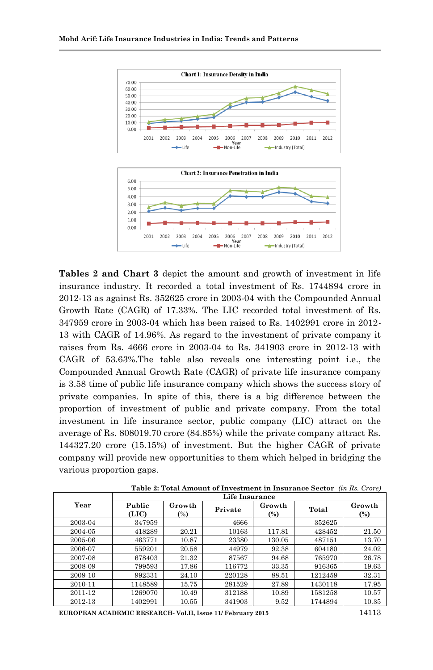2001

 $+$ Life



2002 2003 2004 2005 2006 2007 2008 2009 2010 2011 2012

-Industry (Total)

**Year**<br>Non-Life <del>- -</del>

**Tables 2 and Chart 3** depict the amount and growth of investment in life insurance industry. It recorded a total investment of Rs. 1744894 crore in 2012-13 as against Rs. 352625 crore in 2003-04 with the Compounded Annual Growth Rate (CAGR) of 17.33%. The LIC recorded total investment of Rs. 347959 crore in 2003-04 which has been raised to Rs. 1402991 crore in 2012- 13 with CAGR of 14.96%. As regard to the investment of private company it raises from Rs. 4666 crore in 2003-04 to Rs. 341903 crore in 2012-13 with CAGR of 53.63%.The table also reveals one interesting point i.e., the Compounded Annual Growth Rate (CAGR) of private life insurance company is 3.58 time of public life insurance company which shows the success story of private companies. In spite of this, there is a big difference between the proportion of investment of public and private company. From the total investment in life insurance sector, public company (LIC) attract on the average of Rs. 808019.70 crore (84.85%) while the private company attract Rs. 144327.20 crore (15.15%) of investment. But the higher CAGR of private company will provide new opportunities to them which helped in bridging the various proportion gaps.

|         | Life Insurance  |                          |         |                  |         |                          |  |  |  |  |
|---------|-----------------|--------------------------|---------|------------------|---------|--------------------------|--|--|--|--|
| Year    | Public<br>(LIC) | Growth<br>$\binom{0}{0}$ | Private | Growth<br>$(\%)$ | Total   | Growth<br>$\binom{0}{0}$ |  |  |  |  |
| 2003-04 | 347959          |                          | 4666    |                  | 352625  |                          |  |  |  |  |
| 2004-05 | 418289          | 20.21                    | 10163   | 117.81           | 428452  | 21.50                    |  |  |  |  |
| 2005-06 | 463771          | 10.87                    | 23380   | 130.05           | 487151  | 13.70                    |  |  |  |  |
| 2006-07 | 559201          | 20.58                    | 44979   | 92.38            | 604180  | 24.02                    |  |  |  |  |
| 2007-08 | 678403          | 21.32                    | 87567   | 94.68            | 765970  | 26.78                    |  |  |  |  |
| 2008-09 | 799593          | 17.86                    | 116772  | 33.35            | 916365  | 19.63                    |  |  |  |  |
| 2009-10 | 992331          | 24.10                    | 220128  | 88.51            | 1212459 | 32.31                    |  |  |  |  |
| 2010-11 | 1148589         | 15.75                    | 281529  | 27.89            | 1430118 | 17.95                    |  |  |  |  |
| 2011-12 | 1269070         | 10.49                    | 312188  | 10.89            | 1581258 | 10.57                    |  |  |  |  |
| 2012-13 | 1402991         | 10.55                    | 341903  | 9.52             | 1744894 | 10.35                    |  |  |  |  |

**Table 2: Total Amount of Investment in Insurance Sector** *(in Rs. Crore)*

**EUROPEAN ACADEMIC RESEARCH- Vol.II, Issue 11/ February 2015** 14113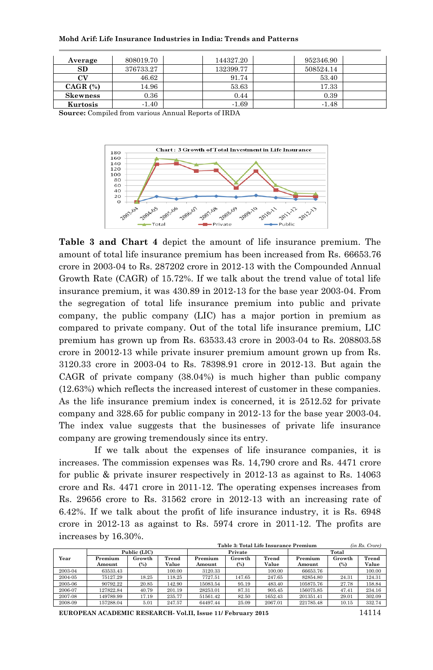| Mohd Arif: Life Insurance Industries in India: Trends and Patterns |  |  |  |
|--------------------------------------------------------------------|--|--|--|
|--------------------------------------------------------------------|--|--|--|

| Average         | 808019.70 | 144327.20 | 952346.90 |  |
|-----------------|-----------|-----------|-----------|--|
| SD              | 376733.27 | 132399.77 | 508524.14 |  |
| CV              | 46.62     | 91.74     | 53.40     |  |
| CAGR $(%)$      | 14.96     | 53.63     | 17.33     |  |
| <b>Skewness</b> | 0.36      | 0.44      | 0.39      |  |
| Kurtosis        | $-1.40$   | $-1.69$   | $-1.48$   |  |

**Source:** Compiled from various Annual Reports of IRDA



**Table 3 and Chart 4** depict the amount of life insurance premium. The amount of total life insurance premium has been increased from Rs. 66653.76 crore in 2003-04 to Rs. 287202 crore in 2012-13 with the Compounded Annual Growth Rate (CAGR) of 15.72%. If we talk about the trend value of total life insurance premium, it was 430.89 in 2012-13 for the base year 2003-04. From the segregation of total life insurance premium into public and private company, the public company (LIC) has a major portion in premium as compared to private company. Out of the total life insurance premium, LIC premium has grown up from Rs. 63533.43 crore in 2003-04 to Rs. 208803.58 crore in 20012-13 while private insurer premium amount grown up from Rs. 3120.33 crore in 2003-04 to Rs. 78398.91 crore in 2012-13. But again the CAGR of private company (38.04%) is much higher than public company (12.63%) which reflects the increased interest of customer in these companies. As the life insurance premium index is concerned, it is 2512.52 for private company and 328.65 for public company in 2012-13 for the base year 2003-04. The index value suggests that the businesses of private life insurance company are growing tremendously since its entry.

If we talk about the expenses of life insurance companies, it is increases. The commission expenses was Rs. 14,790 crore and Rs. 4471 crore for public & private insurer respectively in 2012-13 as against to Rs. 14063 crore and Rs. 4471 crore in 2011-12. The operating expenses increases from Rs. 29656 crore to Rs. 31562 crore in 2012-13 with an increasing rate of 6.42%. If we talk about the profit of life insurance industry, it is Rs. 6948 crore in 2012-13 as against to Rs. 5974 crore in 2011-12. The profits are increases by 16.30%.

|         |              |        |        | Table 3: Total Life Insurance Premium | (in Rs. Crore) |         |           |        |        |
|---------|--------------|--------|--------|---------------------------------------|----------------|---------|-----------|--------|--------|
|         | Public (LIC) |        |        |                                       | Private        |         | Total     |        |        |
| Year    | Premium      | Growth | Trend  | Premium                               | Growth         | Trend   | Premium   | Growth | Trend  |
|         | Amount       | $(\%)$ | Value  | Amount                                | (%)            | Value   | Amount    | $(\%)$ | Value  |
| 2003-04 | 63533.43     |        | 100.00 | 3120.33                               |                | 100.00  | 66653.76  |        | 100.00 |
| 2004-05 | 75127.29     | 18.25  | 118.25 | 7727.51                               | 147.65         | 247.65  | 82854.80  | 24.31  | 124.31 |
| 2005-06 | 90792.22     | 20.85  | 142.90 | 15083.54                              | 95.19          | 483.40  | 105875.76 | 27.78  | 158.84 |
| 2006-07 | 127822.84    | 40.79  | 201.19 | 28253.01                              | 87.31          | 905.45  | 156075.85 | 47.41  | 234.16 |
| 2007-08 | 149789.99    | 17.19  | 235.77 | 51561.42                              | 82.50          | 1652.43 | 201351.41 | 29.01  | 302.09 |
| 2008-09 | 157288.04    | 5.01   | 247.57 | 64497.44                              | 25.09          | 2067.01 | 221785.48 | 10.15  | 332.74 |

**EUROPEAN ACADEMIC RESEARCH- Vol.II, Issue 11/ February 2015** 14114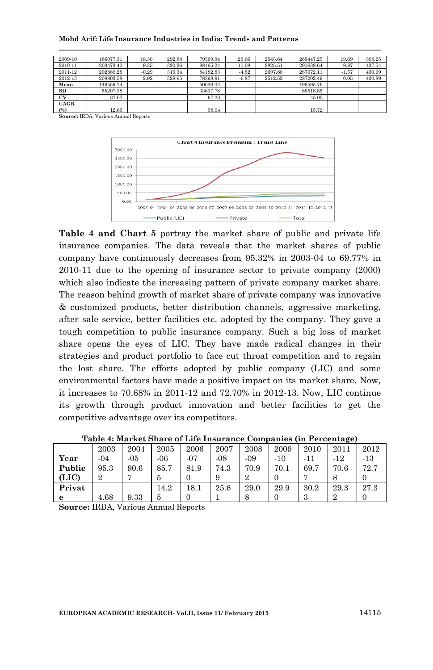#### **Mohd Arif: Life Insurance Industries in India: Trends and Patterns**

| 2009-10   | 186077.31 | 18.30   | 292.88 | 79369.94 | 23.06   | 2543.64 | 265447.25 | 19.69   | 398.25 |
|-----------|-----------|---------|--------|----------|---------|---------|-----------|---------|--------|
| 2010-11   | 203473.40 | 9.35    | 320.26 | 88165.24 | 11.08   | 2825.51 | 291638.64 | 9.87    | 437.54 |
| 2011-12   | 202889.28 | $-0.29$ | 319.34 | 84182.83 | $-4.52$ | 2697.88 | 287072.11 | $-1.57$ | 430.69 |
| 2012-13   | 208803.58 | 2.92    | 328.65 | 78398.91 | $-6.87$ | 2512.52 | 287202.49 | 0.05    | 430.89 |
| Mean      | 146559.74 |         |        | 50036.02 |         |         | 196595.76 |         |        |
| SD        | 55207.38  |         |        | 33637.78 |         |         | 88518.85  |         |        |
| <b>CV</b> | 37.67     |         |        | 67.23    |         |         | 45.03     |         |        |
| CAGR      |           |         |        |          |         |         |           |         |        |
| (%)       | 12.63     |         |        | 38.04    |         |         | 15.72     |         |        |

**Source:** IRDA, Various Annual Reports



**Table 4 and Chart 5** portray the market share of public and private life insurance companies. The data reveals that the market shares of public company have continuously decreases from 95.32% in 2003-04 to 69.77% in 2010-11 due to the opening of insurance sector to private company (2000) which also indicate the increasing pattern of private company market share. The reason behind growth of market share of private company was innovative & customized products, better distribution channels, aggressive marketing, after sale service, better facilities etc. adopted by the company. They gave a tough competition to public insurance company. Such a big loss of market share opens the eyes of LIC. They have made radical changes in their strategies and product portfolio to face cut throat competition and to regain the lost share. The efforts adopted by public company (LIC) and some environmental factors have made a positive impact on its market share. Now, it increases to 70.68% in 2011-12 and 72.70% in 2012-13. Now, LIC continue its growth through product innovation and better facilities to get the competitive advantage over its competitors.

|        |                |      |        |       |       |       |       |       | .     |       |
|--------|----------------|------|--------|-------|-------|-------|-------|-------|-------|-------|
|        | 2003           | 2004 | 2005   | 2006  | 2007  | 2008  | 2009  | 2010  | 2011  | 2012  |
| Year   | $-04$          | -05  | $-06$  | $-07$ | $-08$ | $-09$ | $-10$ | $-11$ | $-12$ | $-13$ |
| Public | 95.3           | 90.6 | 85.7   | 81.9  | 74.3  | 70.9  | 70.1  | 69.7  | 70.6  | 72.7  |
| (LIC)  | $\overline{2}$ |      |        |       | 9     |       |       |       | Õ     |       |
| Privat |                |      | 14.2   | 18.1  | 25.6  | 29.0  | 29.9  | 30.2  | 29.3  | 27.3  |
| e      | 4.68           | 9.33 |        |       |       |       |       | 3     |       |       |
| $\sim$ |                |      | $\sim$ |       |       |       |       |       |       |       |

**Table 4: Market Share of Life Insurance Companies (in Percentage)**

**Source:** IRDA, Various Annual Reports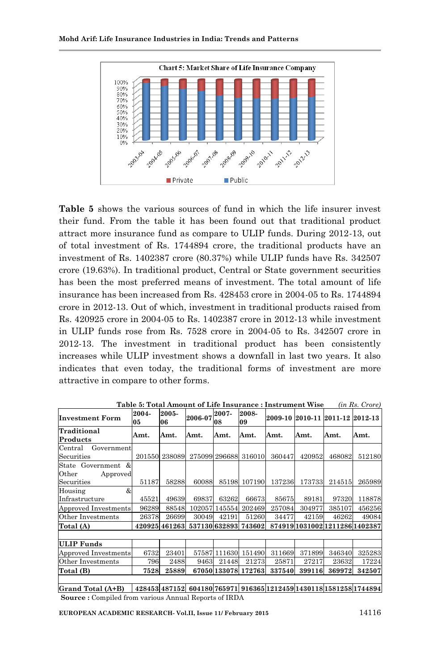

**Table 5** shows the various sources of fund in which the life insurer invest their fund. From the table it has been found out that traditional product attract more insurance fund as compare to ULIP funds. During 2012-13, out of total investment of Rs. 1744894 crore, the traditional products have an investment of Rs. 1402387 crore (80.37%) while ULIP funds have Rs. 342507 crore (19.63%). In traditional product, Central or State government securities has been the most preferred means of investment. The total amount of life insurance has been increased from Rs. 428453 crore in 2004-05 to Rs. 1744894 crore in 2012-13. Out of which, investment in traditional products raised from Rs. 420925 crore in 2004-05 to Rs. 1402387 crore in 2012-13 while investment in ULIP funds rose from Rs. 7528 crore in 2004-05 to Rs. 342507 crore in 2012-13. The investment in traditional product has been consistently increases while ULIP investment shows a downfall in last two years. It also indicates that even today, the traditional forms of investment are more attractive in compare to other forms.

| <b>Investment Form</b>                                | 2004-<br>05 | 2005-<br>06   | 2006-07                            | 2007-<br>08   | 2008-<br>09          |        |        | 2009-10 2010-11 2011-12 2012-13                                      |        |
|-------------------------------------------------------|-------------|---------------|------------------------------------|---------------|----------------------|--------|--------|----------------------------------------------------------------------|--------|
| Traditional<br>Products                               | Amt.        | Amt.          | Amt.                               | Amt.          | Amt.                 | Amt.   | Amt.   | Amt.                                                                 | Amt.   |
| Government<br>Central<br>Securities                   |             | 201550 238089 |                                    |               | 275099 296688 316010 | 360447 | 420952 | 468082                                                               | 512180 |
| State Government &<br>Other<br>Approved<br>Securities | 51187       | 58288         | 60088                              |               | 85198 107190         | 137236 | 173733 | 214515                                                               | 265989 |
| &<br>Housing<br>Infrastructure                        | 45521       | 49639         | 69837                              | 63262         | 66673                | 85675  | 89181  | 97320                                                                | 118878 |
| Approved Investments                                  | 96289       | 88548         |                                    | 102057 145554 | 202469               | 257084 | 304977 | 385107                                                               | 456256 |
| Other Investments                                     | 26378       | 26699         | 30049                              | 42191         | 51260                | 34477  | 42159  | 46262                                                                | 49084  |
| Total (A)                                             |             |               | 420925 461263 537130 632893 743602 |               |                      |        |        | 874919 1031002 1211286 1402387                                       |        |
|                                                       |             |               |                                    |               |                      |        |        |                                                                      |        |
| <b>ULIP</b> Funds                                     |             |               |                                    |               |                      |        |        |                                                                      |        |
| Approved Investments                                  | 6732        | 23401         |                                    | 57587 111630  | 151490               | 311669 | 371899 | 346340                                                               | 325283 |
| Other Investments                                     | 796         | 2488          | 9463                               | 21448         | 21273                | 25871  | 27217  | 23632                                                                | 17224  |
| Total (B)                                             | 7528        | 25889         |                                    |               | 67050 133078 172763  | 337540 | 399116 | 369972                                                               | 342507 |
|                                                       |             |               |                                    |               |                      |        |        |                                                                      |        |
| <b>Grand Total (A+B)</b>                              |             |               |                                    |               |                      |        |        | 428453 487152 604180 765971 916365 1212459 1430 118 158 1258 1744894 |        |

**Table 5: Total Amount of Life Insurance : Instrument Wise** *(in Rs. Crore)*

**Grand Total (A+B) 428453 487152 604180 765971 916365 1212459 1430118 1581258 1744894 Source :** Compiled from various Annual Reports of IRDA

**EUROPEAN ACADEMIC RESEARCH- Vol.II, Issue 11/ February 2015** 14116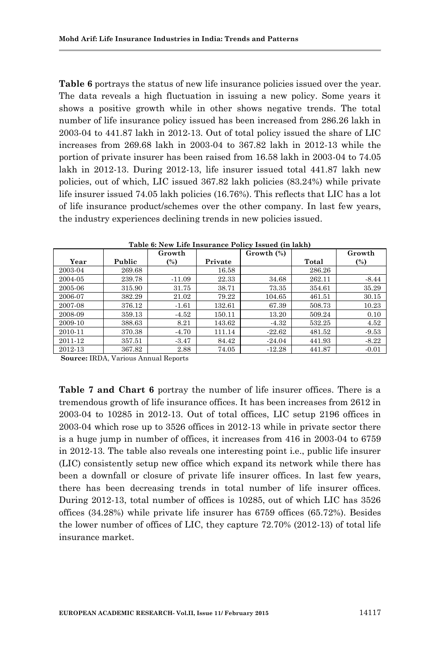**Table 6** portrays the status of new life insurance policies issued over the year. The data reveals a high fluctuation in issuing a new policy. Some years it shows a positive growth while in other shows negative trends. The total number of life insurance policy issued has been increased from 286.26 lakh in 2003-04 to 441.87 lakh in 2012-13. Out of total policy issued the share of LIC increases from 269.68 lakh in 2003-04 to 367.82 lakh in 2012-13 while the portion of private insurer has been raised from 16.58 lakh in 2003-04 to 74.05 lakh in 2012-13. During 2012-13, life insurer issued total 441.87 lakh new policies, out of which, LIC issued 367.82 lakh policies (83.24%) while private life insurer issued 74.05 lakh policies (16.76%). This reflects that LIC has a lot of life insurance product/schemes over the other company. In last few years, the industry experiences declining trends in new policies issued.

|         |        | Growth   |         | Growth $(\%)$ |        | Growth  |
|---------|--------|----------|---------|---------------|--------|---------|
| Year    | Public | $(\%)$   | Private |               | Total  | (%)     |
| 2003-04 | 269.68 |          | 16.58   |               | 286.26 |         |
| 2004-05 | 239.78 | $-11.09$ | 22.33   | 34.68         | 262.11 | $-8.44$ |
| 2005-06 | 315.90 | 31.75    | 38.71   | 73.35         | 354.61 | 35.29   |
| 2006-07 | 382.29 | 21.02    | 79.22   | 104.65        | 461.51 | 30.15   |
| 2007-08 | 376.12 | $-1.61$  | 132.61  | 67.39         | 508.73 | 10.23   |
| 2008-09 | 359.13 | $-4.52$  | 150.11  | 13.20         | 509.24 | 0.10    |
| 2009-10 | 388.63 | 8.21     | 143.62  | $-4.32$       | 532.25 | 4.52    |
| 2010-11 | 370.38 | $-4.70$  | 111.14  | $-22.62$      | 481.52 | $-9.53$ |
| 2011-12 | 357.51 | $-3.47$  | 84.42   | $-24.04$      | 441.93 | $-8.22$ |
| 2012-13 | 367.82 | 2.88     | 74.05   | $-12.28$      | 441.87 | $-0.01$ |

**Table 6: New Life Insurance Policy Issued (in lakh)**

**Source:** IRDA, Various Annual Reports

**Table 7 and Chart 6** portray the number of life insurer offices. There is a tremendous growth of life insurance offices. It has been increases from 2612 in 2003-04 to 10285 in 2012-13. Out of total offices, LIC setup 2196 offices in 2003-04 which rose up to 3526 offices in 2012-13 while in private sector there is a huge jump in number of offices, it increases from 416 in 2003-04 to 6759 in 2012-13. The table also reveals one interesting point i.e., public life insurer (LIC) consistently setup new office which expand its network while there has been a downfall or closure of private life insurer offices. In last few years, there has been decreasing trends in total number of life insurer offices. During 2012-13, total number of offices is 10285, out of which LIC has 3526 offices (34.28%) while private life insurer has 6759 offices (65.72%). Besides the lower number of offices of LIC, they capture 72.70% (2012-13) of total life insurance market.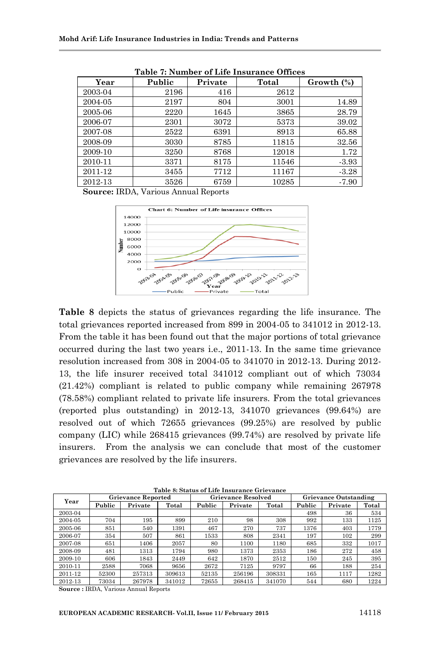| Year    | Public | Private | Total | Growth $(\%)$ |  |  |  |  |  |  |  |
|---------|--------|---------|-------|---------------|--|--|--|--|--|--|--|
| 2003-04 | 2196   | 416     | 2612  |               |  |  |  |  |  |  |  |
| 2004-05 | 2197   | 804     | 3001  | 14.89         |  |  |  |  |  |  |  |
| 2005-06 | 2220   | 1645    | 3865  | 28.79         |  |  |  |  |  |  |  |
| 2006-07 | 2301   | 3072    | 5373  | 39.02         |  |  |  |  |  |  |  |
| 2007-08 | 2522   | 6391    | 8913  | 65.88         |  |  |  |  |  |  |  |
| 2008-09 | 3030   | 8785    | 11815 | 32.56         |  |  |  |  |  |  |  |
| 2009-10 | 3250   | 8768    | 12018 | 1.72          |  |  |  |  |  |  |  |
| 2010-11 | 3371   | 8175    | 11546 | $-3.93$       |  |  |  |  |  |  |  |
| 2011-12 | 3455   | 7712    | 11167 | $-3.28$       |  |  |  |  |  |  |  |
| 2012-13 | 3526   | 6759    | 10285 | $-7.90$       |  |  |  |  |  |  |  |

**Table 7: Number of Life Insurance Offices**

**Source:** IRDA, Various Annual Reports



**Table 8** depicts the status of grievances regarding the life insurance. The total grievances reported increased from 899 in 2004-05 to 341012 in 2012-13. From the table it has been found out that the major portions of total grievance occurred during the last two years i.e., 2011-13. In the same time grievance resolution increased from 308 in 2004-05 to 341070 in 2012-13. During 2012- 13, the life insurer received total 341012 compliant out of which 73034 (21.42%) compliant is related to public company while remaining 267978 (78.58%) compliant related to private life insurers. From the total grievances (reported plus outstanding) in 2012-13, 341070 grievances (99.64%) are resolved out of which 72655 grievances (99.25%) are resolved by public company (LIC) while 268415 grievances (99.74%) are resolved by private life insurers. From the analysis we can conclude that most of the customer grievances are resolved by the life insurers.

| Year    | <b>Grievance Reported</b> |         |        | <b>Grievance Resolved</b> |         |        | <b>Grievance Outstanding</b> |         |       |
|---------|---------------------------|---------|--------|---------------------------|---------|--------|------------------------------|---------|-------|
|         | Public                    | Private | Total  | Public                    | Private | Total  | Public                       | Private | Total |
| 2003-04 |                           |         |        |                           |         |        | 498                          | 36      | 534   |
| 2004-05 | 704                       | 195     | 899    | 210                       | 98      | 308    | 992                          | 133     | 1125  |
| 2005-06 | 851                       | 540     | 1391   | 467                       | 270     | 737    | 1376                         | 403     | 1779  |
| 2006-07 | 354                       | 507     | 861    | 1533                      | 808     | 2341   | 197                          | 102     | 299   |
| 2007-08 | 651                       | 1406    | 2057   | 80                        | 1100    | 1180   | 685                          | 332     | 1017  |
| 2008-09 | 481                       | 1313    | 1794   | 980                       | 1373    | 2353   | 186                          | 272     | 458   |
| 2009-10 | 606                       | 1843    | 2449   | 642                       | 1870    | 2512   | 150                          | 245     | 395   |
| 2010-11 | 2588                      | 7068    | 9656   | 2672                      | 7125    | 9797   | 66                           | 188     | 254   |
| 2011-12 | 52300                     | 257313  | 309613 | 52135                     | 256196  | 308331 | 165                          | 1117    | 1282  |
| 2012-13 | 73034                     | 267978  | 341012 | 72655                     | 268415  | 341070 | 544                          | 680     | 1224  |

**Table 8: Status of Life Insurance Grievance**

**Source :** IRDA, Various Annual Reports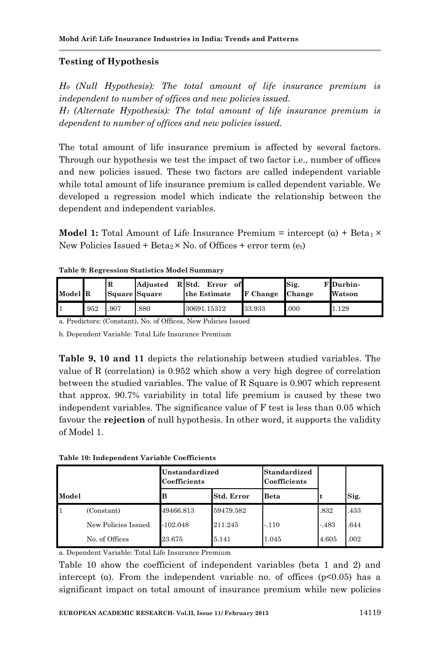# **Testing of Hypothesis**

*H0 (Null Hypothesis): The total amount of life insurance premium is independent to number of offices and new policies issued. H1 (Alternate Hypothesis): The total amount of life insurance premium is dependent to number of offices and new policies issued.*

The total amount of life insurance premium is affected by several factors. Through our hypothesis we test the impact of two factor i.e., number of offices and new policies issued. These two factors are called independent variable while total amount of life insurance premium is called dependent variable. We developed a regression model which indicate the relationship between the dependent and independent variables.

**Model 1:** Total Amount of Life Insurance Premium = intercept  $(a) + \text{Beta}_1 \times$ New Policies Issued + Beta<sub>2</sub>  $\times$  No. of Offices + error term (et)

| Model R |      | ΙR   | Adjusted<br>Square Square | R Std.<br>Error<br>ofl<br>the Estimate | <b>F</b> Change | Sig.<br>Change | F Durbin-<br>Watson |
|---------|------|------|---------------------------|----------------------------------------|-----------------|----------------|---------------------|
|         | .952 | .907 | .880                      | 30691.15312                            | 33.933          | .000           | 1.129               |

**Table 9: Regression Statistics Model Summary**

a. Predictors: (Constant), No. of Offices, New Policies Issued

b. Dependent Variable: Total Life Insurance Premium

**Table 9, 10 and 11** depicts the relationship between studied variables. The value of R (correlation) is 0.952 which show a very high degree of correlation between the studied variables. The value of R Square is 0.907 which represent that approx. 90.7% variability in total life premium is caused by these two independent variables. The significance value of F test is less than 0.05 which favour the **rejection** of null hypothesis. In other word, it supports the validity of Model 1.

**Table 10: Independent Variable Coefficients**

|       |                     | Unstandardized<br>Coefficients |                   | <b>Standardized</b><br>Coefficients |         |      |
|-------|---------------------|--------------------------------|-------------------|-------------------------------------|---------|------|
| Model |                     |                                | <b>Std. Error</b> | <b>Beta</b>                         | t       | Sig. |
| 1     | (Constant)          | 49466.813                      | 59479.582         |                                     | .832    | .433 |
|       | New Policies Issued | $-102.048$                     | 211.245           | $-.110$                             | $-.483$ | .644 |
|       | No. of Offices      | 23.675                         | 5.141             | 1.045                               | 4.605   | .002 |

a. Dependent Variable: Total Life Insurance Premium

Table 10 show the coefficient of independent variables (beta 1 and 2) and intercept (α). From the independent variable no. of offices ( $p<0.05$ ) has a significant impact on total amount of insurance premium while new policies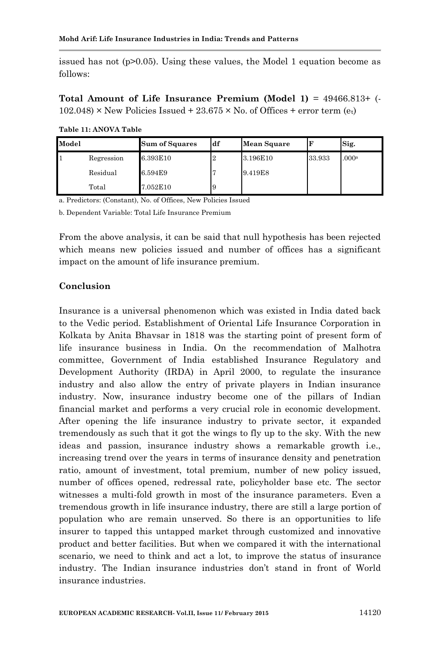issued has not  $(p>0.05)$ . Using these values, the Model 1 equation become as follows:

**Total Amount of Life Insurance Premium (Model 1)** = 49466.813+ (-  $102.048$  × New Policies Issued + 23.675 × No. of Offices + error term (et)

| Model |            | <b>Sum of Squares</b> | df | <b>Mean Square</b> |        | Sig.              |
|-------|------------|-----------------------|----|--------------------|--------|-------------------|
|       | Regression | 6.393E10              | 2  | 3.196E10           | 33.933 | .000 <sup>a</sup> |
|       | Residual   | 6.594E9               |    | 9.419E8            |        |                   |
|       | Total      | 7.052E10              | 9  |                    |        |                   |

**Table 11: ANOVA Table**

a. Predictors: (Constant), No. of Offices, New Policies Issued

b. Dependent Variable: Total Life Insurance Premium

From the above analysis, it can be said that null hypothesis has been rejected which means new policies issued and number of offices has a significant impact on the amount of life insurance premium.

#### **Conclusion**

Insurance is a universal phenomenon which was existed in India dated back to the Vedic period. Establishment of Oriental Life Insurance Corporation in Kolkata by Anita Bhavsar in 1818 was the starting point of present form of life insurance business in India. On the recommendation of Malhotra committee, Government of India established Insurance Regulatory and Development Authority (IRDA) in April 2000, to regulate the insurance industry and also allow the entry of private players in Indian insurance industry. Now, insurance industry become one of the pillars of Indian financial market and performs a very crucial role in economic development. After opening the life insurance industry to private sector, it expanded tremendously as such that it got the wings to fly up to the sky. With the new ideas and passion, insurance industry shows a remarkable growth i.e., increasing trend over the years in terms of insurance density and penetration ratio, amount of investment, total premium, number of new policy issued, number of offices opened, redressal rate, policyholder base etc. The sector witnesses a multi-fold growth in most of the insurance parameters. Even a tremendous growth in life insurance industry, there are still a large portion of population who are remain unserved. So there is an opportunities to life insurer to tapped this untapped market through customized and innovative product and better facilities. But when we compared it with the international scenario, we need to think and act a lot, to improve the status of insurance industry. The Indian insurance industries don't stand in front of World insurance industries.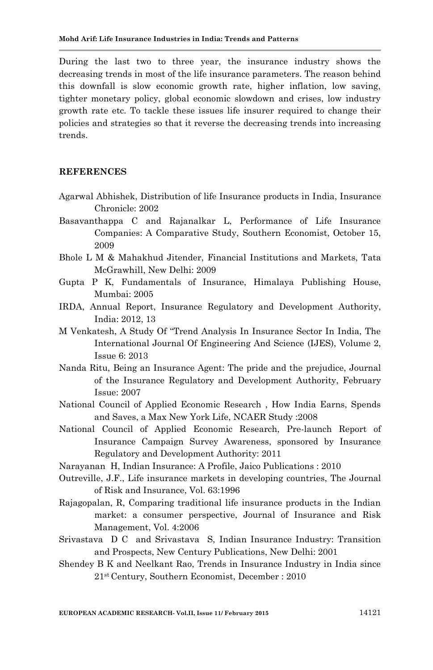During the last two to three year, the insurance industry shows the decreasing trends in most of the life insurance parameters. The reason behind this downfall is slow economic growth rate, higher inflation, low saving, tighter monetary policy, global economic slowdown and crises, low industry growth rate etc. To tackle these issues life insurer required to change their policies and strategies so that it reverse the decreasing trends into increasing trends.

#### **REFERENCES**

- Agarwal Abhishek, Distribution of life Insurance products in India, Insurance Chronicle: 2002
- Basavanthappa C and Rajanalkar L, Performance of Life Insurance Companies: A Comparative Study, Southern Economist, October 15, 2009
- Bhole L M & Mahakhud Jitender, Financial Institutions and Markets, Tata McGrawhill, New Delhi: 2009
- Gupta P K, Fundamentals of Insurance, Himalaya Publishing House, Mumbai: 2005
- IRDA, Annual Report, Insurance Regulatory and Development Authority, India: 2012, 13
- M Venkatesh, A Study Of "Trend Analysis In Insurance Sector In India, The International Journal Of Engineering And Science (IJES), Volume 2, Issue 6: 2013
- Nanda Ritu, Being an Insurance Agent: The pride and the prejudice, Journal of the Insurance Regulatory and Development Authority, February Issue: 2007
- National Council of Applied Economic Research , How India Earns, Spends and Saves, a Max New York Life, NCAER Study :2008
- National Council of Applied Economic Research, Pre-launch Report of Insurance Campaign Survey Awareness, sponsored by Insurance Regulatory and Development Authority: 2011
- Narayanan H, Indian Insurance: A Profile, Jaico Publications : 2010
- Outreville, J.F., Life insurance markets in developing countries, The Journal of Risk and Insurance, Vol. 63:1996
- Rajagopalan, R, Comparing traditional life insurance products in the Indian market: a consumer perspective, Journal of Insurance and Risk Management, Vol. 4:2006
- Srivastava D C and Srivastava S, Indian Insurance Industry: Transition and Prospects, New Century Publications, New Delhi: 2001
- Shendey B K and Neelkant Rao, Trends in Insurance Industry in India since 21st Century, Southern Economist, December : 2010